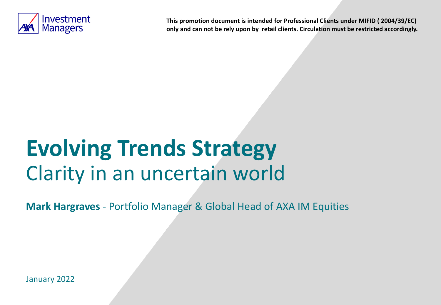

**This promotion document is intended for Professional Clients under MIFID ( 2004/39/EC) only and can not be rely upon by retail clients. Circulation must be restricted accordingly.**

# **Evolving Trends Strategy**  Clarity in an uncertain world

**Mark Hargraves** - Portfolio Manager & Global Head of AXA IM Equities

January 2022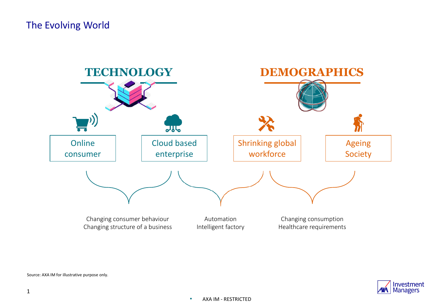### The Evolving World





Source: AXA IM for illustrative purpose only.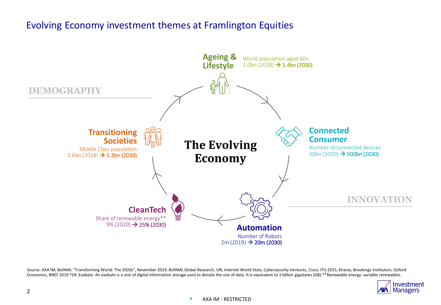### Evolving Economy investment themes at Framlington Equities



Source: AXA IM, BofAML "Transforming World: The 2020s", November 2019. BofAML Global Research, UN, Internet World Stats, Cybersecurity Ventures, Cisco, ITU 2015, Kharas, Brookings Institution, Oxford Economics, BNEF 2019 \*EB: Exabyte. An exabyte is a unit of digital information storage used to denote the size of data. It is equivalent to 1 billion gigabytes (GB).\*\*Renewable energy: variable renewables.

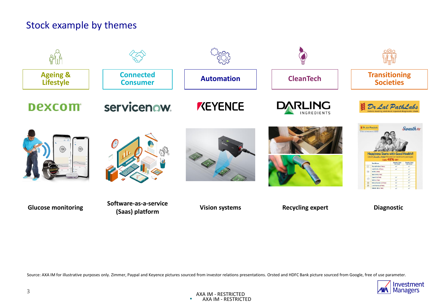### Stock example by themes



Source: AXA IM for illustrative purposes only. Zimmer, Paypal and Keyence pictures sourced from investor relations presentations. Orsted and HDFC Bank picture sourced from Google, free of use parameter.

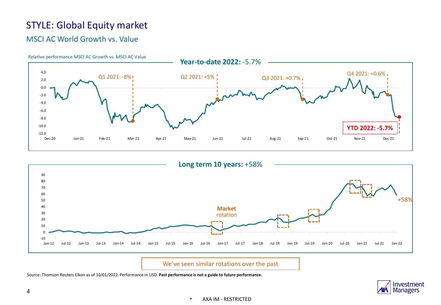## STYLE: Global Equity market

#### MSCI AC World Growth vs. Value





We've seen similar rotations over the past

Source: Thomson Reuters Eikon as of 10/01/2022. Performance in USD. **Past performance is not a guide to future performance.**

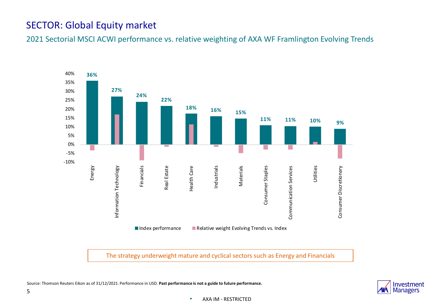### SECTOR: Global Equity market

2021 Sectorial MSCI ACWI performance vs. relative weighting of AXA WF Framlington Evolving Trends



The strategy underweight mature and cyclical sectors such as Energy and Financials

Source: Thomson Reuters Eikon as of 31/12/2021. Performance in USD. **Past performance is not a guide to future performance.** 

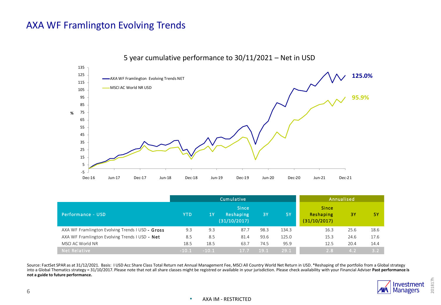

Performance - USD YTD 1 Y Since Reshaping Cumulative<br>Since<br>Reshaping<br>(31/10/2017)<br>87.7 3 Y 5Y Since Reshaping Annualised<br>
Since<br>
Reshaping<br>
(31/10/2017)<br>
16.3 25.6 .<br>3Y 5Y<br>3Y 5Y Performance - USD<br>
Performance - USD<br>
AXA WF Framlington Evolving Trends I USD - Gross 9.3 9.3 87.7 98.3 134.3 16.3 25.6 18.6<br>
AXA WF Framlington Evolving Trends I USD - Net 8.5 8.5 81.4 93.6 125.0 15.3 24.6 17.6 AXA WF Framlington Evolving Trends I USD - Net 8.5 8.5 81.4 93.6 125.0 15.3 24.6 17.6 MSCI AC World NR 19.5 18.5 18.5 18.5 18.5 63.7 74.5 95.9 12.5 20.4 14.4 Net Relative -10.1 -10.1 17.7 19.1 29.1 2.8 4.2 3.2

Source: FactSet SPAR as at 31/12/2021. Basis: I USD Acc Share Class Total Return net Annual Management Fee, MSCI All Country World Net Return in USD. \*Reshaping of the portfolio from a Global strategy into a Global Thematics strategy = 31/10/2017. Please note that not all share classes might be registred or available in your jurisdiction. Please check availability with your Financial Adviser **Past performance is not a guide to future performance.** 



#### • AXA IM - RESTRICTED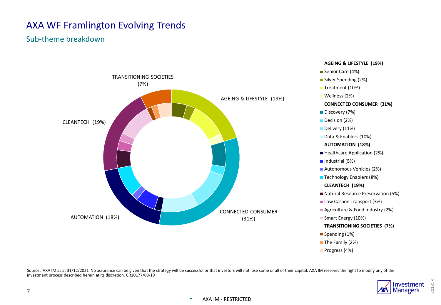#### Sub-theme breakdown



Source: AXA IM as at 31/12/2021 No assurance can be given that the strategy will be successful or that investors will not lose some or all of their capital. AXA IM reserves the right to modify any of the investment process described herein at its discretion. CR10177/08-19



201817h

#### • AXA IM - RESTRICTED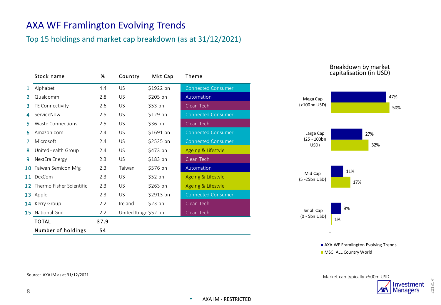#### Top 15 holdings and market cap breakdown (as at 31/12/2021)

|    | Stock name               | %    | Country              | Mkt Cap   | Theme                     |
|----|--------------------------|------|----------------------|-----------|---------------------------|
| 1  | Alphabet                 | 4.4  | US                   | \$1922 bn | <b>Connected Consumer</b> |
| 2  | Qualcomm                 | 2.8  | US                   | \$205 bn  | Automation                |
| 3  | TE Connectivity          | 2.6  | US                   | \$53 bn   | Clean Tech                |
| 4  | ServiceNow               | 2.5  | US                   | \$129 bn  | <b>Connected Consumer</b> |
| 5  | Waste Connections        | 2.5  | US                   | \$36 bh   | Clean Tech                |
| 6  | Amazon.com               | 2.4  | US                   | \$1691 bn | <b>Connected Consumer</b> |
| 7  | Microsoft                | 2.4  | US                   | \$2525 bn | <b>Connected Consumer</b> |
| 8  | United Health Group      | 2.4  | US                   | \$473 bn  | Ageing & Lifestyle        |
| 9  | NextEra Energy           | 2.3  | US.                  | \$183 bn  | Clean Tech                |
| 10 | Taiwan Semicon Mfg       | 2.3  | Taiwan               | \$576 bn  | Automation                |
| 11 | DexCom                   | 2.3  | US                   | $$52$ bn  | Ageing & Lifestyle        |
| 12 | Thermo Fisher Scientific | 2.3  | US                   | $$263$ bn | Ageing & Lifestyle        |
| 13 | Apple                    | 2.3  | <b>US</b>            | \$2913 bn | <b>Connected Consumer</b> |
| 14 | Kerry Group              | 2.2  | Ireland              | \$23 bh   | Clean Tech                |
| 15 | <b>National Grid</b>     | 2.2  | United Kingd \$52 bn |           | Clean Tech                |
|    | <b>TOTAL</b>             | 37.9 |                      |           |                           |
|    | Number of holdings       | 54   |                      |           |                           |
|    |                          |      |                      |           |                           |



Breakdown by market capitalisation (in USD)



AXA WF Framlington Evolving Trends

**MSCI ALL Country World** 

Market cap typically >500m USD



201817h

Source: AXA IM as at 31/12/2021.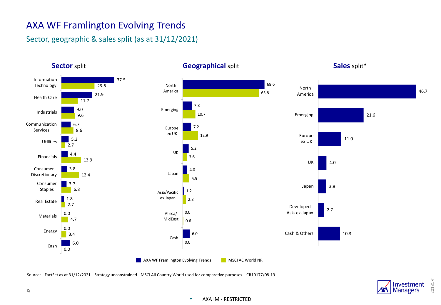#### Sector, geographic & sales split (as at 31/12/2021)



#### **Sector split Geographical split**

**Sales** split\*

Source: FactSet as at 31/12/2021. Strategy unconstrained - MSCI All Country World used for comparative purposes . CR10177/08-19



201817h

#### • AXA IM - RESTRICTED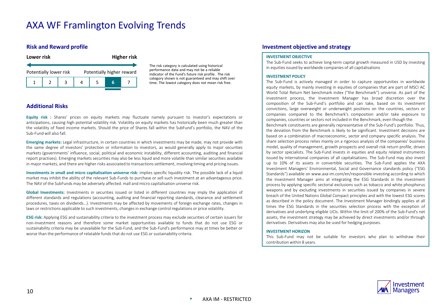#### **Risk and Reward profile**



The risk category is calculated using historical performance data and may not be a reliable indicator of the Fund's future risk profile. The risk category shown is not guaranteed and may shift over time. The lowest category does not mean risk free.

#### **Additional Risks**

**Equity risk :** Shares' prices on equity markets may fluctuate namely pursuant to investor's expectations or anticipations, causing high potential volatility risk. Volatility on equity markets has historically been much greater than the volatility of fixed income markets. Should the price of Shares fall within the SubFund's portfolio, the NAV of the Sub-Fundwill also fall.

**Emerging markets:** Legal infrastructure, in certain countries in which investments may be made, may not provide with the same degree of investors' protection or information to investors, as would generally apply to major securities markets (governments' influence, social, political and economic instability, different accounting, auditing and financial report practises). Emerging markets securities may also be less liquid and more volatile than similar securities available in major markets, and there are higher risks associated to transactionssettlement, involving timing and pricing issues.

**Investments in small and micro capitalisation universe risk**: implies specific liquidity risk. The possible lack of a liquid market may inhibit the ability of the relevant Sub-Funds to purchase or sell such investment at an advantageous price. The NAV of the SubFunds may be adversely affected. mall and micro capitalisation universe risk.

**Global Investments**: Investments in securities issued or listed in different countries may imply the application of different standards and regulations (accounting, auditing and financial reporting standards, clearance and settlement procedures, taxes on dividends…). Investments may be affected by movements of foreign exchange rates, changes in laws or restrictions applicable to such investments, changes in exchange control regulations or price volatility.

**ESG risk:** Applying ESG and sustainability criteria to the investment process may exclude securities of certain issuers for non-investment reasons and therefore some market opportunities available to funds that do not use ESG or sustainability criteria may be unavailable for the Sub-Fund, and the Sub-Fund's performance may at times be better or worse than the performance of relatable funds that do not use ESG or sustainability criteria.

#### **Investment objective and strategy**

#### **INVESTMENT OBJECTIVE**

The Sub-Fund seeks to achieve long-term capital growth measured in USD by investing in equities issued by worldwide companies of all capitalisations

#### **INVESTMENT POLICY**

The Sub-Fund is actively managed in order to capture opportunities in worldwide equity markets, by mainly investing in equities of companies that are part of MSCI AC World Total Return Net benchmark index ("the Benchmark") universe. As part of the investment process, the Investment Manager has broad discretion over the composition of the Sub-Fund's portfolio and can take, based on its investment convictions, large overweight or underweight positions on the countries, sectors or companies compared to the Benchmark's composition and/or take exposure to companies, countries or sectors not included in the Benchmark, even though the

Benchmark constituents are generally representative of the Sub-Fund's portfolio. Thus, the deviation from the Benchmark is likely to be significant. Investment decisions are based on a combination of macroeconomic, sector and company specific analysis. The share selection process relies mainly on a rigorous analysis of the companies' business model, quality of management, growth prospects and overall risk return profile, driven by sector specialists. The Sub-Fund invests in equities and equity related instruments issued by international companies of all capitalisations. The Sub-Fund may also invest up to 10% of its assets in convertible securities. The Sub-Fund applies the AXA Investment Managers' Environmental, Social and Governance standards policy ("ESG Standards") available on www.axa-im.com/en/responsible-investing according to which the Investment Manager aims at integrating the ESG Standards in the investment process by applying specific sectorial exclusions such as tobacco and white phosphorus weapons and by excluding investments in securities issued by companies in severe breach of the United Nations Global Compact principles and with the lowest ESG scores as described in the policy document. The Investment Manager bindingly applies at all times the ESG Standards in the securities selection process with the exception of derivatives and underlying eligible UCIs. Within the limit of 200% of the Sub-Fund's net assets, the investment strategy may be achieved by direct investments and/or through derivatives. Derivatives may also be used for hedging purposes.

#### **INVESTMENT HORIZON**

This Sub-Fund may not be suitable for investors who plan to withdraw their contribution within 8 years.

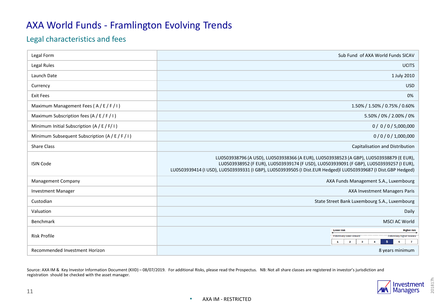### AXA World Funds - Framlington Evolving Trends

#### Legal characteristics and fees

| Legal Form                                      | Sub Fund of AXA World Funds SICAV                                                                                                                                                                                                                                                                    |  |  |  |
|-------------------------------------------------|------------------------------------------------------------------------------------------------------------------------------------------------------------------------------------------------------------------------------------------------------------------------------------------------------|--|--|--|
| Legal Rules                                     | <b>UCITS</b>                                                                                                                                                                                                                                                                                         |  |  |  |
| Launch Date                                     | 1 July 2010                                                                                                                                                                                                                                                                                          |  |  |  |
| Currency                                        | <b>USD</b>                                                                                                                                                                                                                                                                                           |  |  |  |
| <b>Exit Fees</b>                                | 0%                                                                                                                                                                                                                                                                                                   |  |  |  |
| Maximum Management Fees (A/E/F/I)               | 1.50% / 1.50% / 0.75% / 0.60%                                                                                                                                                                                                                                                                        |  |  |  |
| Maximum Subscription fees (A / E / F / I)       | 5.50% / 0% / 2.00% / 0%                                                                                                                                                                                                                                                                              |  |  |  |
| Minimum Initial Subscription $(A / E / F / I)$  | 0/0/0/5,000,000                                                                                                                                                                                                                                                                                      |  |  |  |
| Minimum Subsequent Subscription (A / E / F / I) | 0/0/0/1,000,000                                                                                                                                                                                                                                                                                      |  |  |  |
| <b>Share Class</b>                              | Capitalisation and Distribution                                                                                                                                                                                                                                                                      |  |  |  |
| <b>ISIN Code</b>                                | LU0503938796 (A USD), LU0503938366 (A EUR), LU0503938523 (A GBP), LU0503938879 (E EUR),<br>LU0503938952 (F EUR), LU0503939174 (F USD), LU0503939091 (F GBP), LU0503939257 (I EUR),<br>LU0503939414 (I USD), LU0503939331 (I GBP), LU0503939505 (I Dist.EUR Hedged)  LU0503939687 (I Dist.GBP Hedged) |  |  |  |
| <b>Management Company</b>                       | AXA Funds Management S.A., Luxembourg                                                                                                                                                                                                                                                                |  |  |  |
| <b>Investment Manager</b>                       | AXA Investment Managers Paris                                                                                                                                                                                                                                                                        |  |  |  |
| Custodian                                       | State Street Bank Luxembourg S.A., Luxembourg                                                                                                                                                                                                                                                        |  |  |  |
| Valuation                                       | Daily                                                                                                                                                                                                                                                                                                |  |  |  |
| <b>Benchmark</b>                                | <b>MSCI AC World</b>                                                                                                                                                                                                                                                                                 |  |  |  |
| <b>Risk Profile</b>                             | <b>Lower risk</b><br><b>Higher risk</b><br>Potentially lower reward<br>Potentially higher reward<br>$\mathbf{3}$<br>$\overline{7}$<br>$\mathbf{1}$<br>$\mathbf{2}$<br>5<br>4<br>6                                                                                                                    |  |  |  |
| Recommended Investment Horizon                  | 8 years minimum                                                                                                                                                                                                                                                                                      |  |  |  |

Source: AXA IM & Key Investor Information Document (KIID) – 08/07/2019. For additional Risks, please read the Prospectus. NB: Not all share classes are registered in investor's jurisdiction and registration should be checked with the asset manager.



201817h